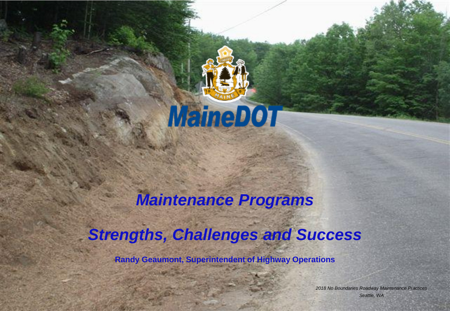

## *Maintenance Programs*

#### *Strengths, Challenges and Success*

**Randy Geaumont, Superintendent of Highway Operations** 

*2018 No Boundaries Roadway Maintenance Practices Seattle, WA*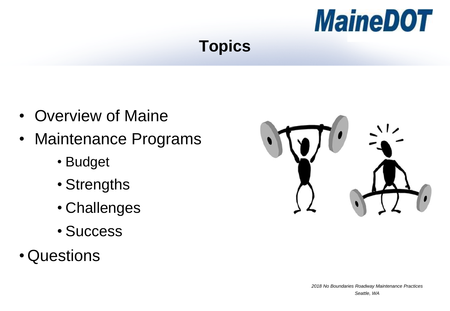

## **Topics**

- Overview of Maine
- Maintenance Programs
	- Budget
	- Strengths
	- Challenges
	- Success
- Questions

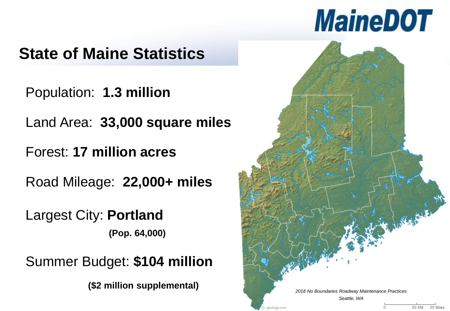# **MaineDOT**

# **State of Maine Statistics**

Population: **1.3 million**

Land Area: **33,000 square miles**

Forest: **17 million acres** 

Road Mileage: **22,000+ miles**

Largest City: **Portland** 

**(Pop. 64,000)**

Summer Budget: **\$104 million** 

**(\$2 million supplemental)**

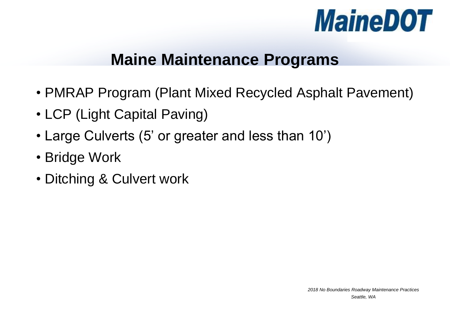

#### **Maine Maintenance Programs**

- PMRAP Program (Plant Mixed Recycled Asphalt Pavement)
- LCP (Light Capital Paving)
- Large Culverts (5' or greater and less than 10')
- Bridge Work
- Ditching & Culvert work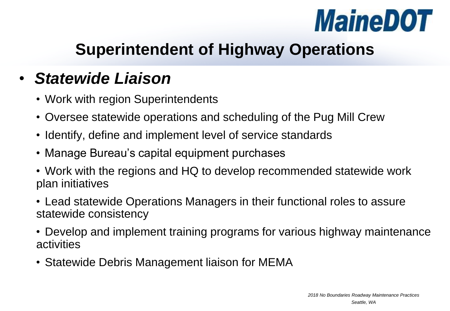

# **Superintendent of Highway Operations**

# • *Statewide Liaison*

- Work with region Superintendents
- Oversee statewide operations and scheduling of the Pug Mill Crew
- Identify, define and implement level of service standards
- Manage Bureau's capital equipment purchases
- Work with the regions and HQ to develop recommended statewide work plan initiatives
- Lead statewide Operations Managers in their functional roles to assure statewide consistency
- Develop and implement training programs for various highway maintenance activities
- Statewide Debris Management liaison for MEMA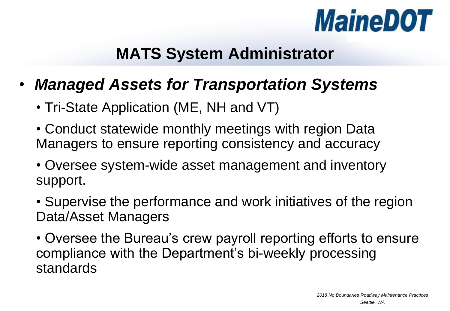

#### **MATS System Administrator**

- *Managed Assets for Transportation Systems*
	- Tri-State Application (ME, NH and VT)
	- Conduct statewide monthly meetings with region Data Managers to ensure reporting consistency and accuracy
	- Oversee system-wide asset management and inventory support.
	- Supervise the performance and work initiatives of the region Data/Asset Managers
	- Oversee the Bureau's crew payroll reporting efforts to ensure compliance with the Department's bi-weekly processing standards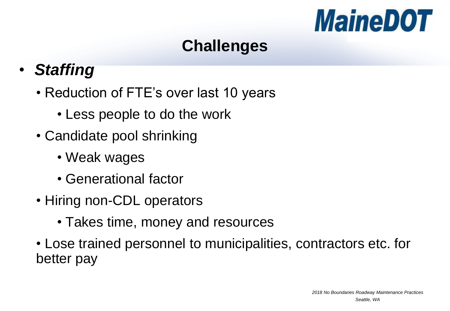

# **Challenges**

- *Staffing*
	- Reduction of FTE's over last 10 years
		- Less people to do the work
	- Candidate pool shrinking
		- Weak wages
		- Generational factor
	- Hiring non-CDL operators
		- Takes time, money and resources
	- Lose trained personnel to municipalities, contractors etc. for better pay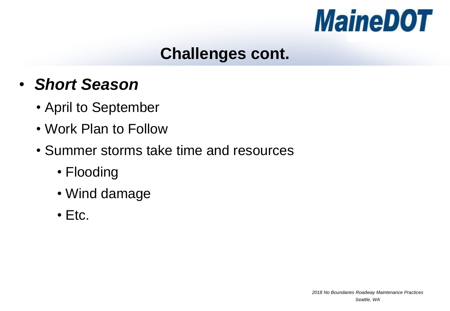

#### **Challenges cont.**

- *Short Season*
	- April to September
	- Work Plan to Follow
	- Summer storms take time and resources
		- Flooding
		- Wind damage
		- Etc.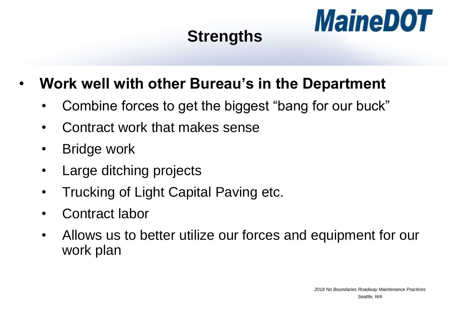# **Strengths**



### • **Work well with other Bureau's in the Department**

- Combine forces to get the biggest "bang for our buck"
- Contract work that makes sense
- **Bridge work**
- Large ditching projects
- Trucking of Light Capital Paving etc.
- Contract labor
- Allows us to better utilize our forces and equipment for our work plan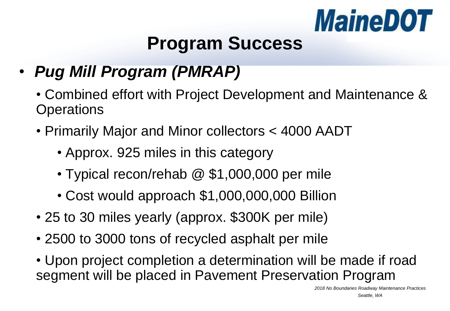

# **Program Success**

- *Pug Mill Program (PMRAP)*
	- Combined effort with Project Development and Maintenance & **Operations**
	- Primarily Major and Minor collectors < 4000 AADT
		- Approx. 925 miles in this category
		- Typical recon/rehab @ \$1,000,000 per mile
		- Cost would approach \$1,000,000,000 Billion
	- 25 to 30 miles yearly (approx. \$300K per mile)
	- 2500 to 3000 tons of recycled asphalt per mile
	- Upon project completion a determination will be made if road segment will be placed in Pavement Preservation Program